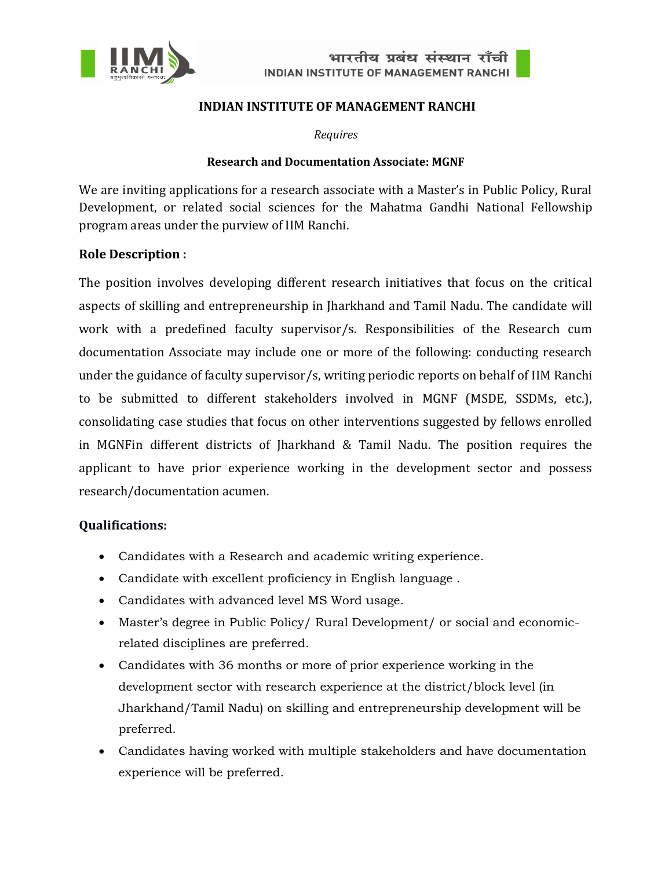



#### **INDIAN INSTITUTE OF MANAGEMENT RANCHI**

*Requires*

#### **Research and Documentation Associate: MGNF**

We are inviting applications for a research associate with a Master's in Public Policy, Rural Development, or related social sciences for the Mahatma Gandhi National Fellowship program areas under the purview of IIM Ranchi.

### **Role Description :**

The position involves developing different research initiatives that focus on the critical aspects of skilling and entrepreneurship in Jharkhand and Tamil Nadu. The candidate will work with a predefined faculty supervisor/s. Responsibilities of the Research cum documentation Associate may include one or more of the following: conducting research under the guidance of faculty supervisor/s, writing periodic reports on behalf of IIM Ranchi to be submitted to different stakeholders involved in MGNF (MSDE, SSDMs, etc.), consolidating case studies that focus on other interventions suggested by fellows enrolled in MGNFin different districts of Jharkhand & Tamil Nadu. The position requires the applicant to have prior experience working in the development sector and possess research/documentation acumen.

### **Qualifications:**

- Candidates with a Research and academic writing experience.
- Candidate with excellent proficiency in English language .
- Candidates with advanced level MS Word usage.
- Master's degree in Public Policy/ Rural Development/ or social and economicrelated disciplines are preferred.
- Candidates with 36 months or more of prior experience working in the development sector with research experience at the district/block level (in Jharkhand/Tamil Nadu) on skilling and entrepreneurship development will be preferred.
- Candidates having worked with multiple stakeholders and have documentation experience will be preferred.